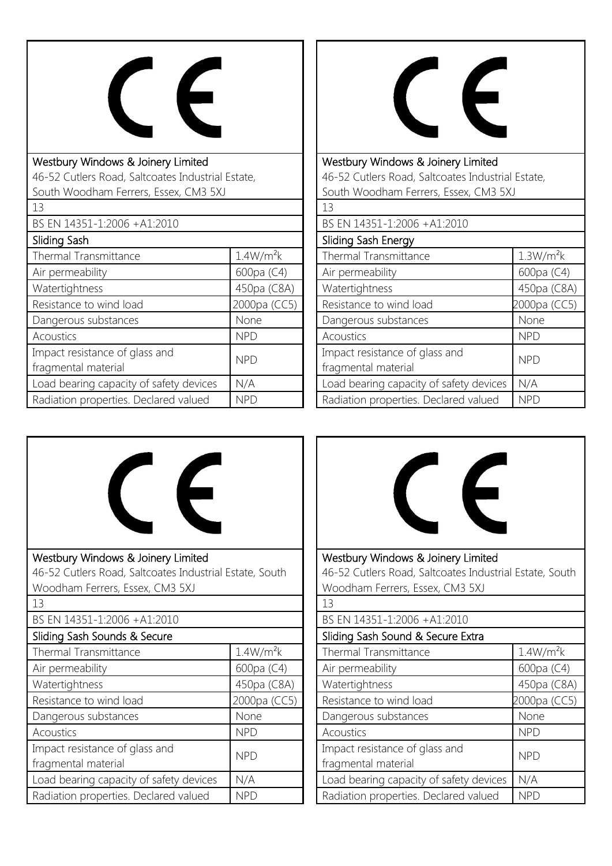

| Westbury Windows & Joinery Limited                |                       |  |
|---------------------------------------------------|-----------------------|--|
| 46-52 Cutlers Road, Saltcoates Industrial Estate, |                       |  |
| South Woodham Ferrers, Essex, CM3 5XJ             |                       |  |
| 13                                                |                       |  |
| BS EN 14351-1:2006 +A1:2010                       |                       |  |
| Sliding Sash                                      |                       |  |
| <b>Thermal Transmittance</b>                      | 1.4W/m <sup>2</sup> k |  |
| Air permeability                                  | 600pa (C4)            |  |
| Watertightness                                    | 450pa (C8A)           |  |
| Resistance to wind load                           | 2000pa (CC5)          |  |
| Dangerous substances                              | None                  |  |
| Acoustics                                         | <b>NPD</b>            |  |
| Impact resistance of glass and                    | NPD                   |  |
| fragmental material                               |                       |  |
| Load bearing capacity of safety devices           | N/A                   |  |
| Radiation properties. Declared valued             | NPD                   |  |



Westbury Windows & Joinery Limited 46-52 Cutlers Road, Saltcoates Industrial Estate, South Woodham Ferrers, Essex, CM3 5XJ

| 13                                                    |                       |
|-------------------------------------------------------|-----------------------|
| BS EN 14351-1:2006 +A1:2010                           |                       |
| Sliding Sash Energy                                   |                       |
| Thermal Transmittance                                 | 1.3W/m <sup>2</sup> k |
| Air permeability                                      | 600pa (C4)            |
| Watertightness                                        | 450pa (C8A)           |
| Resistance to wind load                               | 2000pa (CC5)          |
| Dangerous substances                                  | None                  |
| Acoustics                                             | <b>NPD</b>            |
| Impact resistance of glass and<br>fragmental material | <b>NPD</b>            |
| Load bearing capacity of safety devices               | N/A                   |
| Radiation properties. Declared valued                 | <b>NPD</b>            |





46-52 Cutlers Road, Saltcoates Industrial Estate, South Woodham Ferrers, Essex, CM3 5XJ

| 13                                                    |                       |
|-------------------------------------------------------|-----------------------|
| BS EN 14351-1:2006 +A1:2010                           |                       |
| Sliding Sash Sound & Secure Extra                     |                       |
| Thermal Transmittance                                 | 1.4W/m <sup>2</sup> k |
| Air permeability                                      | 600pa (C4)            |
| Watertightness                                        | 450pa (C8A)           |
| Resistance to wind load                               | 2000pa (CC5)          |
| Dangerous substances                                  | None                  |
| Acoustics                                             | <b>NPD</b>            |
| Impact resistance of glass and<br>fragmental material | <b>NPD</b>            |
| Load bearing capacity of safety devices               | N/A                   |
| Radiation properties. Declared valued                 | <b>NPD</b>            |